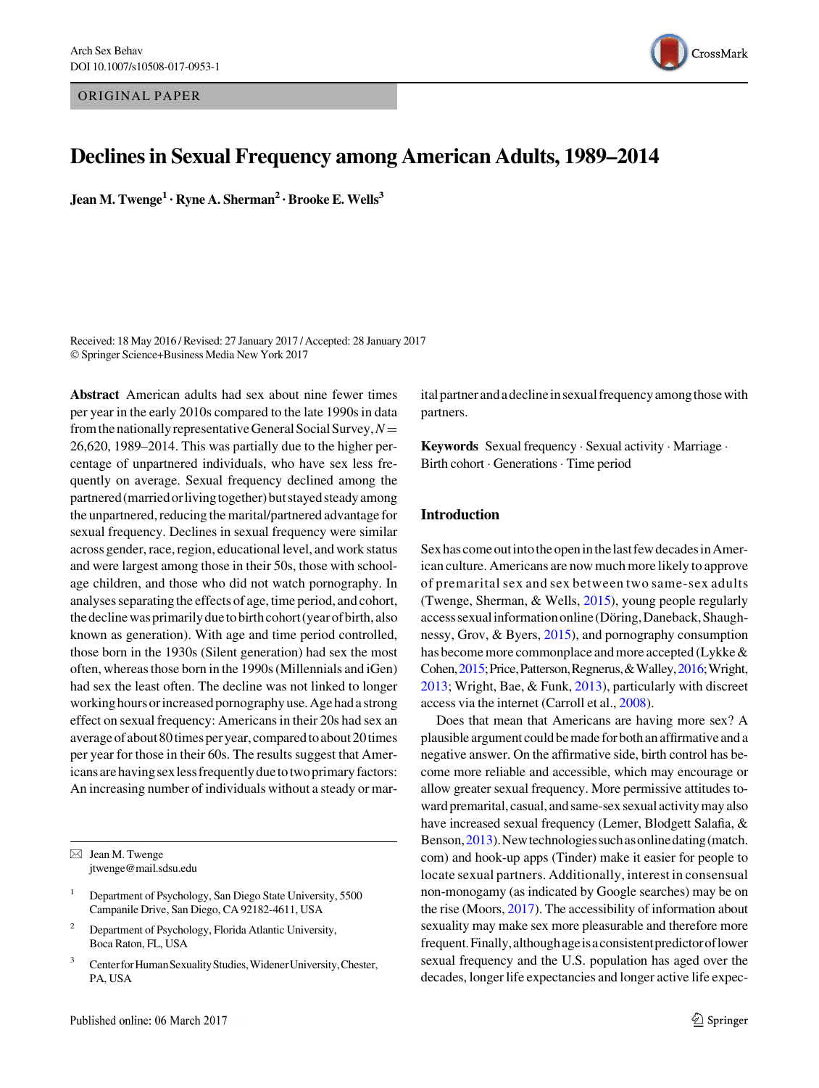ORIGINAL PAPER



# Declines in Sexual Frequency among American Adults, 1989–2014

Jean M. Twenge<sup>1</sup> • Ryne A. Sherman<sup>2</sup> • Brooke E. Wells<sup>3</sup>

Received: 18 May 2016 / Revised: 27 January 2017 / Accepted: 28 January 2017 - Springer Science+Business Media New York 2017

Abstract American adults had sex about nine fewer times per year in the early 2010s compared to the late 1990s in data from the nationally representative General Social Survey,  $N=$ 26,620, 1989–2014. This was partially due to the higher percentage of unpartnered individuals, who have sex less frequently on average. Sexual frequency declined among the partnered (married or living together) but stayed steady among the unpartnered, reducing the marital/partnered advantage for sexual frequency. Declines in sexual frequency were similar across gender, race, region, educational level, and work status and were largest among those in their 50s, those with schoolage children, and those who did not watch pornography. In analyses separating the effects of age, time period, and cohort, the decline was primarily due to birth cohort (year of birth, also known as generation). With age and time period controlled, those born in the 1930s (Silent generation) had sex the most often, whereas those born in the 1990s (Millennials and iGen) had sex the least often. The decline was not linked to longer workinghoursorincreasedpornographyuse. Agehada strong effect on sexual frequency: Americans in their 20s had sex an average of about 80 times per year, compared to about 20 times per year for those in their 60s. The results suggest that Americans are having sex less frequently due to two primary factors: An increasing number of individuals without a steady or mar-

- <sup>2</sup> Department of Psychology, Florida Atlantic University, Boca Raton, FL, USA
- <sup>3</sup> Center for Human Sexuality Studies, Widener University, Chester, PA, USA

ital partner and a decline in sexual frequency among those with partners.

Keywords Sexual frequency · Sexual activity · Marriage · Birth cohort - Generations- Time period

## Introduction

Sex has come out into the open in the last few decades in American culture. Americans are now much more likely to approve of premarital sex and sex between two same-sex adults (Twenge, Sherman, & Wells, [2015](#page-12-0)), young people regularly access sexual information online (Döring, Daneback, Shaughnessy, Grov, & Byers, [2015\)](#page-11-0), and pornography consumption has become more commonplace and more accepted (Lykke & Cohen,[2015;](#page-11-0)Price,Patterson,Regnerus,&Walley,[2016;](#page-11-0)Wright, [2013;](#page-12-0) Wright, Bae, & Funk, [2013](#page-12-0)), particularly with discreet access via the internet (Carroll et al., [2008](#page-11-0)).

Does that mean that Americans are having more sex? A plausible argument could be made for both an affirmative and a negative answer. On the affirmative side, birth control has become more reliable and accessible, which may encourage or allow greater sexual frequency. More permissive attitudes towardpremarital, casual, and same-sex sexual activitymay also have increased sexual frequency (Lemer, Blodgett Salafia, & Benson,[2013\)](#page-11-0).Newtechnologiessuchasonlinedating(match. com) and hook-up apps (Tinder) make it easier for people to locate sexual partners. Additionally, interest in consensual non-monogamy (as indicated by Google searches) may be on the rise (Moors, [2017\)](#page-11-0). The accessibility of information about sexuality may make sex more pleasurable and therefore more frequent.Finally,althoughageisaconsistentpredictoroflower sexual frequency and the U.S. population has aged over the decades, longer life expectancies and longer active life expec-

 $\boxtimes$  Jean M. Twenge jtwenge@mail.sdsu.edu

<sup>&</sup>lt;sup>1</sup> Department of Psychology, San Diego State University, 5500 Campanile Drive, San Diego, CA 92182-4611, USA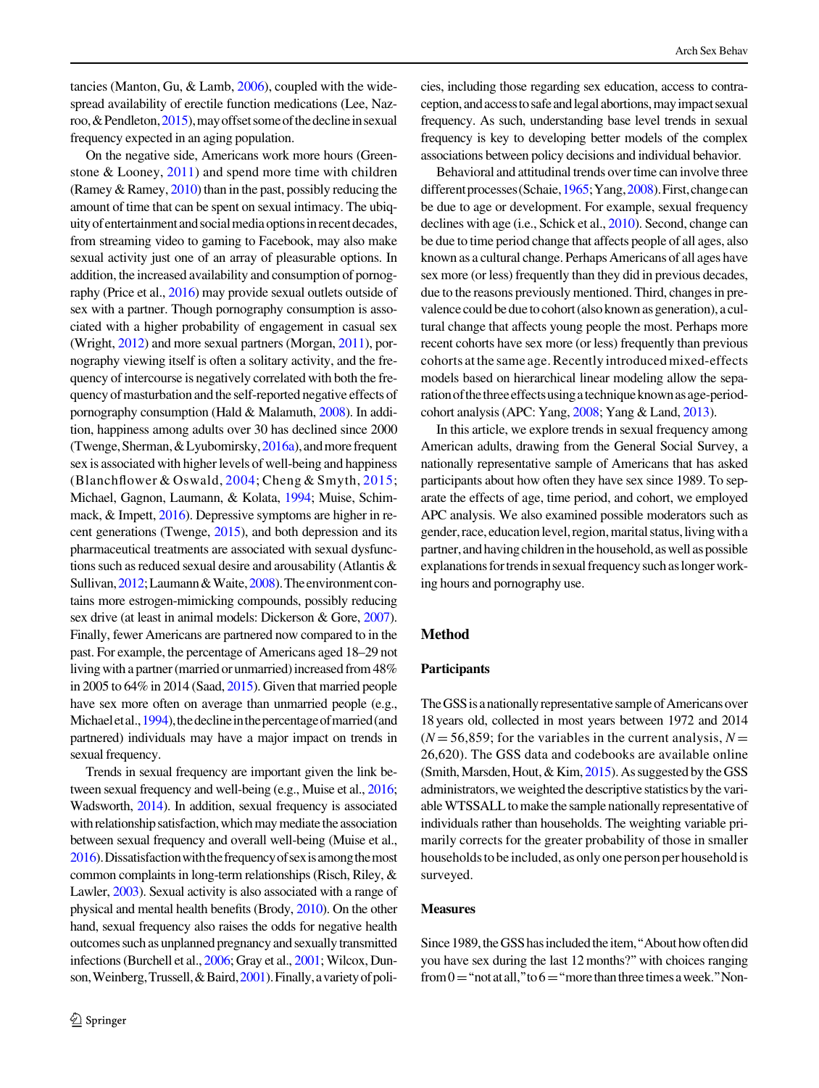tancies (Manton, Gu, & Lamb, [2006](#page-11-0)), coupled with the widespread availability of erectile function medications (Lee, Naz-roo, & Pendleton, [2015\)](#page-11-0), may offset some of the decline in sexual frequency expected in an aging population.

On the negative side, Americans work more hours (Greenstone & Looney, [2011\)](#page-11-0) and spend more time with children (Ramey & Ramey, [2010](#page-12-0)) than in the past, possibly reducing the amount of time that can be spent on sexual intimacy. The ubiquityofentertainmentandsocialmediaoptionsinrecentdecades, from streaming video to gaming to Facebook, may also make sexual activity just one of an array of pleasurable options. In addition, the increased availability and consumption of pornography (Price et al., [2016\)](#page-11-0) may provide sexual outlets outside of sex with a partner. Though pornography consumption is associated with a higher probability of engagement in casual sex (Wright, [2012](#page-12-0)) and more sexual partners (Morgan, [2011](#page-11-0)), pornography viewing itself is often a solitary activity, and the frequency of intercourse is negatively correlated with both the frequency of masturbation and the self-reported negative effects of pornography consumption (Hald & Malamuth, [2008](#page-11-0)). In addition, happiness among adults over 30 has declined since 2000 (Twenge, Sherman,  $&$  Lyubomirsky,  $2016a$ ), and more frequent sex is associated with higher levels of well-being and happiness (Blanchflower & Oswald, [2004](#page-11-0); Cheng & Smyth, [2015](#page-11-0); Michael, Gagnon, Laumann, & Kolata, [1994](#page-11-0); Muise, Schimmack, & Impett, [2016\)](#page-11-0). Depressive symptoms are higher in recent generations (Twenge, [2015](#page-12-0)), and both depression and its pharmaceutical treatments are associated with sexual dysfunctions such as reduced sexual desire and arousability (Atlantis & Sullivan, [2012;](#page-11-0) Laumann & Waite, [2008](#page-11-0)). The environment contains more estrogen-mimicking compounds, possibly reducing sex drive (at least in animal models: Dickerson & Gore, [2007\)](#page-11-0). Finally, fewer Americans are partnered now compared to in the past. For example, the percentage of Americans aged 18–29 not living with a partner (married or unmarried) increased from 48% in 2005 to 64% in 2014 (Saad, [2015](#page-12-0)). Given that married people have sex more often on average than unmarried people (e.g., Michaeletal., [1994](#page-11-0)), the decline in the percentage of married (and partnered) individuals may have a major impact on trends in sexual frequency.

Trends in sexual frequency are important given the link between sexual frequency and well-being (e.g., Muise et al., [2016](#page-11-0); Wadsworth, [2014\)](#page-12-0). In addition, sexual frequency is associated with relationship satisfaction, which may mediate the association between sexual frequency and overall well-being (Muise et al., [2016\)](#page-11-0).Dissatisfactionwiththefrequencyofsexisamongthemost common complaints in long-term relationships (Risch, Riley, & Lawler, [2003](#page-12-0)). Sexual activity is also associated with a range of physical and mental health benefits (Brody, [2010\)](#page-11-0). On the other hand, sexual frequency also raises the odds for negative health outcomes such as unplanned pregnancy and sexually transmitted infections (Burchell et al., [2006](#page-11-0); Gray et al., [2001](#page-11-0); Wilcox, Dun-son, Weinberg, Trussell, & Baird, [2001](#page-12-0)). Finally, a variety of policies, including those regarding sex education, access to contraception, and access to safe and legal abortions, may impact sexual frequency. As such, understanding base level trends in sexual frequency is key to developing better models of the complex associations between policy decisions and individual behavior.

Behavioral and attitudinal trends over time can involve three different processes (Schaie, [1965;](#page-12-0) Yang, [2008](#page-12-0)). First, change can be due to age or development. For example, sexual frequency declines with age (i.e., Schick et al., [2010\)](#page-12-0). Second, change can be due to time period change that affects people of all ages, also known as a cultural change. Perhaps Americans of all ages have sex more (or less) frequently than they did in previous decades, due to the reasons previously mentioned. Third, changes in prevalence could be due to cohort (also known as generation), a cultural change that affects young people the most. Perhaps more recent cohorts have sex more (or less) frequently than previous cohorts atthe same age.Recently introduced mixed-effects models based on hierarchical linear modeling allow the separationofthethreeeffectsusingatechniqueknownasage-periodcohort analysis (APC: Yang, [2008;](#page-12-0) Yang & Land, [2013](#page-12-0)).

In this article, we explore trends in sexual frequency among American adults, drawing from the General Social Survey, a nationally representative sample of Americans that has asked participants about how often they have sex since 1989. To separate the effects of age, time period, and cohort, we employed APC analysis. We also examined possible moderators such as gender, race, education level, region, marital status, living with a partner, and having children in the household, as well as possible explanations for trends in sexual frequency such as longer working hours and pornography use.

### Method

### **Participants**

The GSS is a nationally representative sample of Americans over 18 years old, collected in most years between 1972 and 2014  $(N = 56,859$ ; for the variables in the current analysis,  $N =$ 26,620). The GSS data and codebooks are available online (Smith, Marsden, Hout,  $&$  Kim,  $2015$ ). As suggested by the GSS administrators, we weighted the descriptive statistics by the variable WTSSALL to make the sample nationally representative of individuals rather than households. The weighting variable primarily corrects for the greater probability of those in smaller households to be included, as only one person per household is surveyed.

#### Measures

Since 1989, the GSS has included the item, "About how often did you have sex during the last 12 months?''with choices ranging from  $0$  = "not at all," to  $6$  = "more than three times a week." Non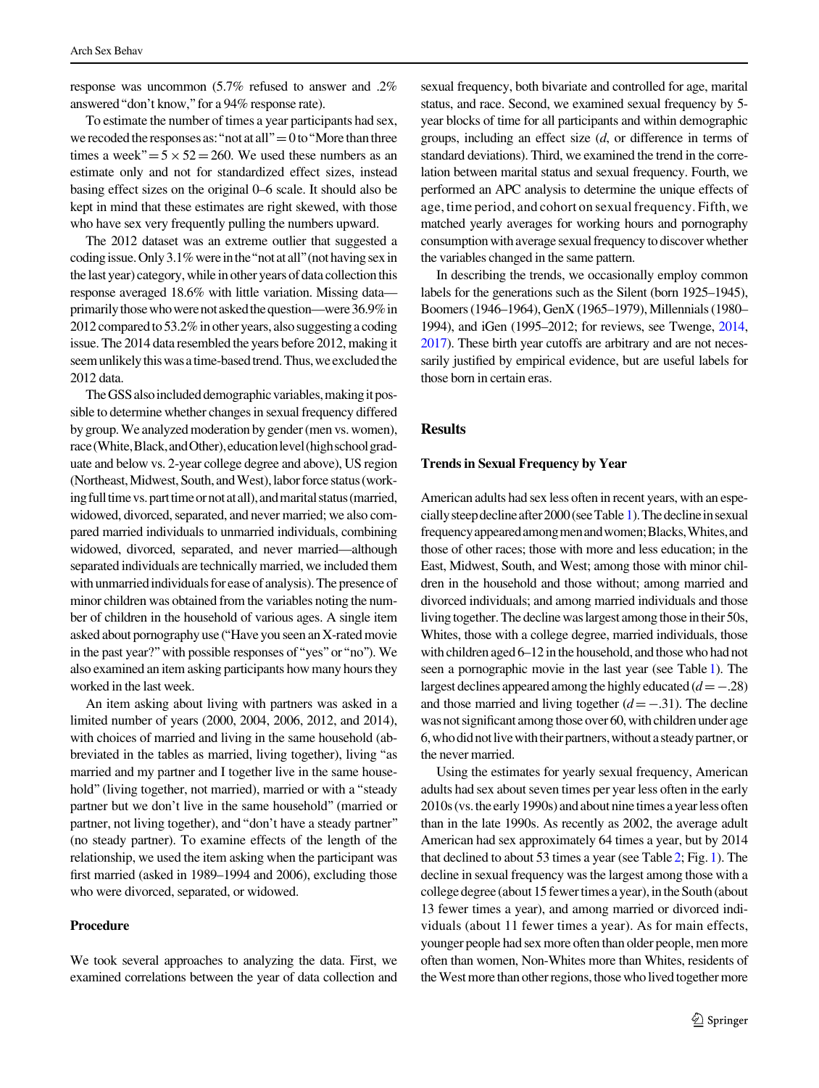response was uncommon (5.7% refused to answer and .2% answered''don't know,''for a 94% response rate).

To estimate the number of times a year participants had sex, we recoded the responses as: "not at all"  $=0$  to "More than three times a week" $=5 \times 52=260$ . We used these numbers as an estimate only and not for standardized effect sizes, instead basing effect sizes on the original 0–6 scale. It should also be kept in mind that these estimates are right skewed, with those who have sex very frequently pulling the numbers upward.

The 2012 dataset was an extreme outlier that suggested a coding issue. Only  $3.1\%$  were in the "not at all" (not having sex in the last year) category, while in other years of data collection this response averaged 18.6% with little variation. Missing data primarily those who were not asked the question—were 36.9% in 2012 compared to 53.2% in other years, also suggesting a coding issue. The 2014 data resembled the years before 2012, making it seem unlikely this was a time-based trend. Thus, we excluded the 2012 data.

The GSS also included demographic variables, making it possible to determine whether changes in sexual frequency differed by group. We analyzed moderation by gender (men vs. women), race (White, Black, and Other), education level (high school graduate and below vs. 2-year college degree and above), US region (Northeast, Midwest, South, and West), labor force status (working full time vs. part time or not at all), and marital status (married, widowed, divorced, separated, and never married; we also compared married individuals to unmarried individuals, combining widowed, divorced, separated, and never married—although separated individuals are technically married, we included them with unmarried individuals for ease of analysis). The presence of minor children was obtained from the variables noting the number of children in the household of various ages. A single item asked about pornography use (''Have you seen an X-rated movie in the past year?''with possible responses of''yes''or''no''). We also examined an item asking participants how many hours they worked in the last week.

An item asking about living with partners was asked in a limited number of years (2000, 2004, 2006, 2012, and 2014), with choices of married and living in the same household (abbreviated in the tables as married, living together), living ''as married and my partner and I together live in the same household" (living together, not married), married or with a "steady partner but we don't live in the same household'' (married or partner, not living together), and''don't have a steady partner'' (no steady partner). To examine effects of the length of the relationship, we used the item asking when the participant was first married (asked in 1989–1994 and 2006), excluding those who were divorced, separated, or widowed.

### Procedure

We took several approaches to analyzing the data. First, we examined correlations between the year of data collection and sexual frequency, both bivariate and controlled for age, marital status, and race. Second, we examined sexual frequency by 5 year blocks of time for all participants and within demographic groups, including an effect size (d, or difference in terms of standard deviations). Third, we examined the trend in the correlation between marital status and sexual frequency. Fourth, we performed an APC analysis to determine the unique effects of age, time period, and cohort on sexual frequency. Fifth, we matched yearly averages for working hours and pornography consumption with average sexual frequency to discover whether the variables changed in the same pattern.

In describing the trends, we occasionally employ common labels for the generations such as the Silent (born 1925–1945), Boomers (1946–1964), GenX (1965–1979), Millennials (1980– 1994), and iGen (1995–2012; for reviews, see Twenge, [2014,](#page-12-0) [2017](#page-12-0)). These birth year cutoffs are arbitrary and are not necessarily justified by empirical evidence, but are useful labels for those born in certain eras.

# **Results**

### Trends in Sexual Frequency by Year

American adults had sex less often in recent years, with an especiallysteepdeclineafter2000(seeTable [1](#page-3-0)).Thedeclineinsexual frequencyappearedamongmenandwomen;Blacks,Whites,and those of other races; those with more and less education; in the East, Midwest, South, and West; among those with minor children in the household and those without; among married and divorced individuals; and among married individuals and those living together. The decline was largest among those in their 50s, Whites, those with a college degree, married individuals, those with children aged 6–12 in the household, and those who had not seen a pornographic movie in the last year (see Table [1\)](#page-3-0). The largest declines appeared among the highly educated  $(d=-.28)$ and those married and living together  $(d=-.31)$ . The decline was not significant among those over 60, with children under age 6, who did not live with their partners, without a steady partner, or the never married.

Using the estimates for yearly sexual frequency, American adults had sex about seven times per year less often in the early 2010s (vs. the early 1990s) and about nine times a year less often than in the late 1990s. As recently as 2002, the average adult American had sex approximately 64 times a year, but by 2014 that declined to about 53 times a year (see Table [2](#page-4-0); Fig. [1\)](#page-5-0). The decline in sexual frequency wasthe largest among those with a college degree (about 15 fewer times a year), in the South (about 13 fewer times a year), and among married or divorced individuals (about 11 fewer times a year). As for main effects, younger people had sex more often than older people, men more often than women, Non-Whites more than Whites, residents of the West more than other regions, those who lived together more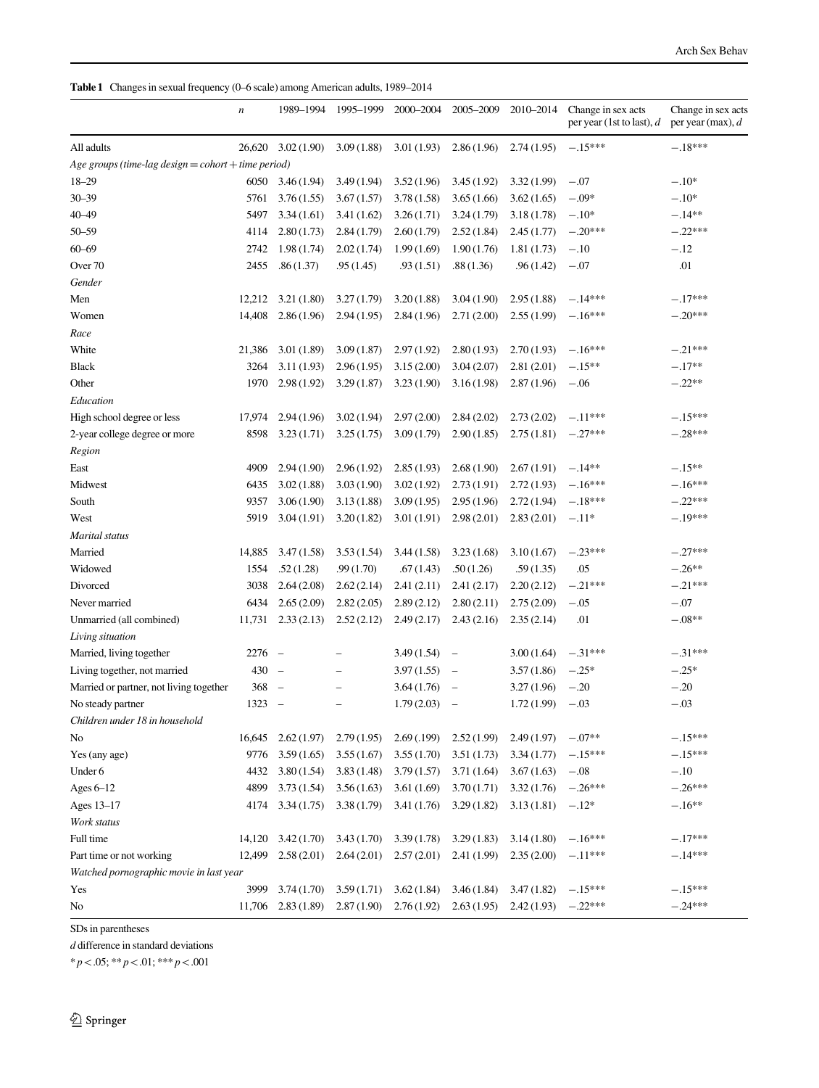<span id="page-3-0"></span>

|  |  |  | Table 1 Changes in sexual frequency (0–6 scale) among American adults, 1989–2014 |  |
|--|--|--|----------------------------------------------------------------------------------|--|
|--|--|--|----------------------------------------------------------------------------------|--|

|                                                     | n      | 1989-1994                | 1995-1999                | 2000-2004   | 2005-2009                | 2010-2014  | Change in sex acts<br>per year (1st to last), $d$ | Change in sex acts<br>per year (max), $d$ |
|-----------------------------------------------------|--------|--------------------------|--------------------------|-------------|--------------------------|------------|---------------------------------------------------|-------------------------------------------|
| All adults                                          | 26,620 | 3.02(1.90)               | 3.09(1.88)               | 3.01(1.93)  | 2.86(1.96)               | 2.74(1.95) | $-.15***$                                         | $-.18***$                                 |
| Age groups (time-lag design = cohort + time period) |        |                          |                          |             |                          |            |                                                   |                                           |
| $18 - 29$                                           | 6050   | 3.46(1.94)               | 3.49(1.94)               | 3.52(1.96)  | 3.45(1.92)               | 3.32(1.99) | $-.07$                                            | $-.10*$                                   |
| $30 - 39$                                           | 5761   | 3.76(1.55)               | 3.67(1.57)               | 3.78(1.58)  | 3.65(1.66)               | 3.62(1.65) | $-.09*$                                           | $-.10*$                                   |
| 40-49                                               | 5497   | 3.34(1.61)               | 3.41(1.62)               | 3.26(1.71)  | 3.24(1.79)               | 3.18(1.78) | $-.10*$                                           | $-.14**$                                  |
| $50 - 59$                                           | 4114   | 2.80(1.73)               | 2.84(1.79)               | 2.60(1.79)  | 2.52(1.84)               | 2.45(1.77) | $-.20***$                                         | $-.22***$                                 |
| $60 - 69$                                           | 2742   | 1.98(1.74)               | 2.02(1.74)               | 1.99(1.69)  | 1.90(1.76)               | 1.81(1.73) | $-.10$                                            | $-.12$                                    |
| Over <sub>70</sub>                                  | 2455   | .86(1.37)                | .95(1.45)                | .93(1.51)   | .88(1.36)                | .96(1.42)  | $-.07$                                            | .01                                       |
| Gender                                              |        |                          |                          |             |                          |            |                                                   |                                           |
| Men                                                 | 12,212 | 3.21(1.80)               | 3.27(1.79)               | 3.20(1.88)  | 3.04(1.90)               | 2.95(1.88) | $-.14***$                                         | $-.17***$                                 |
| Women                                               | 14,408 | 2.86(1.96)               | 2.94(1.95)               | 2.84(1.96)  | 2.71(2.00)               | 2.55(1.99) | $-.16***$                                         | $-.20***$                                 |
| Race                                                |        |                          |                          |             |                          |            |                                                   |                                           |
| White                                               | 21,386 | 3.01(1.89)               | 3.09(1.87)               | 2.97(1.92)  | 2.80(1.93)               | 2.70(1.93) | $-.16***$                                         | $-.21***$                                 |
| <b>Black</b>                                        | 3264   | 3.11(1.93)               | 2.96(1.95)               | 3.15(2.00)  | 3.04(2.07)               | 2.81(2.01) | $-.15**$                                          | $-.17**$                                  |
| Other                                               | 1970   | 2.98(1.92)               | 3.29(1.87)               | 3.23(1.90)  | 3.16(1.98)               | 2.87(1.96) | $-.06$                                            | $-.22**$                                  |
| Education                                           |        |                          |                          |             |                          |            |                                                   |                                           |
| High school degree or less                          | 17,974 | 2.94(1.96)               | 3.02(1.94)               | 2.97(2.00)  | 2.84(2.02)               | 2.73(2.02) | $-.11***$                                         | $-.15***$                                 |
| 2-year college degree or more                       | 8598   | 3.23(1.71)               | 3.25(1.75)               | 3.09(1.79)  | 2.90(1.85)               | 2.75(1.81) | $-.27***$                                         | $-.28***$                                 |
| Region                                              |        |                          |                          |             |                          |            |                                                   |                                           |
| East                                                | 4909   | 2.94(1.90)               | 2.96(1.92)               | 2.85(1.93)  | 2.68(1.90)               | 2.67(1.91) | $-.14**$                                          | $-.15**$                                  |
| Midwest                                             | 6435   | 3.02(1.88)               | 3.03(1.90)               | 3.02(1.92)  | 2.73(1.91)               | 2.72(1.93) | $-.16***$                                         | $-.16***$                                 |
| South                                               | 9357   | 3.06(1.90)               | 3.13(1.88)               | 3.09(1.95)  | 2.95(1.96)               | 2.72(1.94) | $-.18***$                                         | $-.22***$                                 |
| West                                                | 5919   | 3.04(1.91)               | 3.20(1.82)               | 3.01(1.91)  | 2.98(2.01)               | 2.83(2.01) | $-.11*$                                           | $-.19***$                                 |
| Marital status                                      |        |                          |                          |             |                          |            |                                                   |                                           |
| Married                                             | 14,885 | 3.47(1.58)               | 3.53(1.54)               | 3.44(1.58)  | 3.23(1.68)               | 3.10(1.67) | $-.23***$                                         | $-.27***$                                 |
| Widowed                                             | 1554   | .52(1.28)                | .99(1.70)                | .67(1.43)   | .50(1.26)                | .59(1.35)  | .05                                               | $-.26**$                                  |
| Divorced                                            | 3038   | 2.64(2.08)               | 2.62(2.14)               | 2.41(2.11)  | 2.41(2.17)               | 2.20(2.12) | $-.21***$                                         | $-.21***$                                 |
| Never married                                       | 6434   | 2.65(2.09)               | 2.82(2.05)               | 2.89(2.12)  | 2.80(2.11)               | 2.75(2.09) | $-.05$                                            | $-.07$                                    |
| Unmarried (all combined)                            | 11,731 | 2.33(2.13)               | 2.52(2.12)               | 2.49(2.17)  | 2.43(2.16)               | 2.35(2.14) | .01                                               | $-.08**$                                  |
| Living situation                                    |        |                          |                          |             |                          |            |                                                   |                                           |
| Married, living together                            | 2276   | $\overline{\phantom{0}}$ |                          | 3.49(1.54)  | $\qquad \qquad -$        | 3.00(1.64) | $-.31***$                                         | $-.31***$                                 |
| Living together, not married                        | 430    | $\qquad \qquad -$        | $\overline{\phantom{0}}$ | 3.97(1.55)  | $\overline{\phantom{0}}$ | 3.57(1.86) | $-.25*$                                           | $-.25*$                                   |
| Married or partner, not living together             | 368    | $\overline{\phantom{0}}$ | -                        | 3.64(1.76)  | $\overline{\phantom{a}}$ | 3.27(1.96) | $-.20$                                            | $-.20$                                    |
| No steady partner                                   | 1323   | $\overline{\phantom{0}}$ | -                        | 1.79(2.03)  | $\overline{\phantom{a}}$ | 1.72(1.99) | $-.03$                                            | $-.03$                                    |
| Children under 18 in household                      |        |                          |                          |             |                          |            |                                                   |                                           |
| No                                                  | 16,645 | 2.62(1.97)               | 2.79(1.95)               | 2.69(0.199) | 2.52(1.99)               | 2.49(1.97) | $-.07**$                                          | $-.15***$                                 |
| Yes (any age)                                       | 9776   | 3.59(1.65)               | 3.55(1.67)               | 3.55(1.70)  | 3.51(1.73)               | 3.34(1.77) | $-.15***$                                         | $-.15***$                                 |
| Under 6                                             | 4432   | 3.80(1.54)               | 3.83(1.48)               | 3.79(1.57)  | 3.71(1.64)               | 3.67(1.63) | $-.08$                                            | $-.10$                                    |
| Ages 6-12                                           | 4899   | 3.73(1.54)               | 3.56(1.63)               | 3.61(1.69)  | 3.70(1.71)               | 3.32(1.76) | $-.26***$                                         | $-.26***$                                 |
| Ages 13-17                                          | 4174   | 3.34(1.75)               | 3.38(1.79)               | 3.41(1.76)  | 3.29(1.82)               | 3.13(1.81) | $-.12*$                                           | $-.16**$                                  |
| Work status                                         |        |                          |                          |             |                          |            |                                                   |                                           |
| Full time                                           | 14,120 | 3.42(1.70)               | 3.43(1.70)               | 3.39(1.78)  | 3.29(1.83)               | 3.14(1.80) | $-.16***$                                         | $-.17***$                                 |
| Part time or not working                            | 12,499 | 2.58(2.01)               | 2.64(2.01)               | 2.57(2.01)  | 2.41(1.99)               | 2.35(2.00) | $-.11***$                                         | $-.14***$                                 |
| Watched pornographic movie in last year             |        |                          |                          |             |                          |            |                                                   |                                           |
| Yes                                                 | 3999   | 3.74(1.70)               | 3.59(1.71)               | 3.62(1.84)  | 3.46(1.84)               | 3.47(1.82) | $-.15***$                                         | $-.15***$                                 |
| No                                                  |        | 11,706 2.83 (1.89)       | 2.87(1.90)               | 2.76(1.92)  | 2.63(1.95)               | 2.42(1.93) | $-.22***$                                         | $-.24***$                                 |

SDs in parentheses

 $\boldsymbol{d}$  difference in standard deviations

 $* p\!<\!.05; ** p\!<\!.01; ** p\!<\!.001$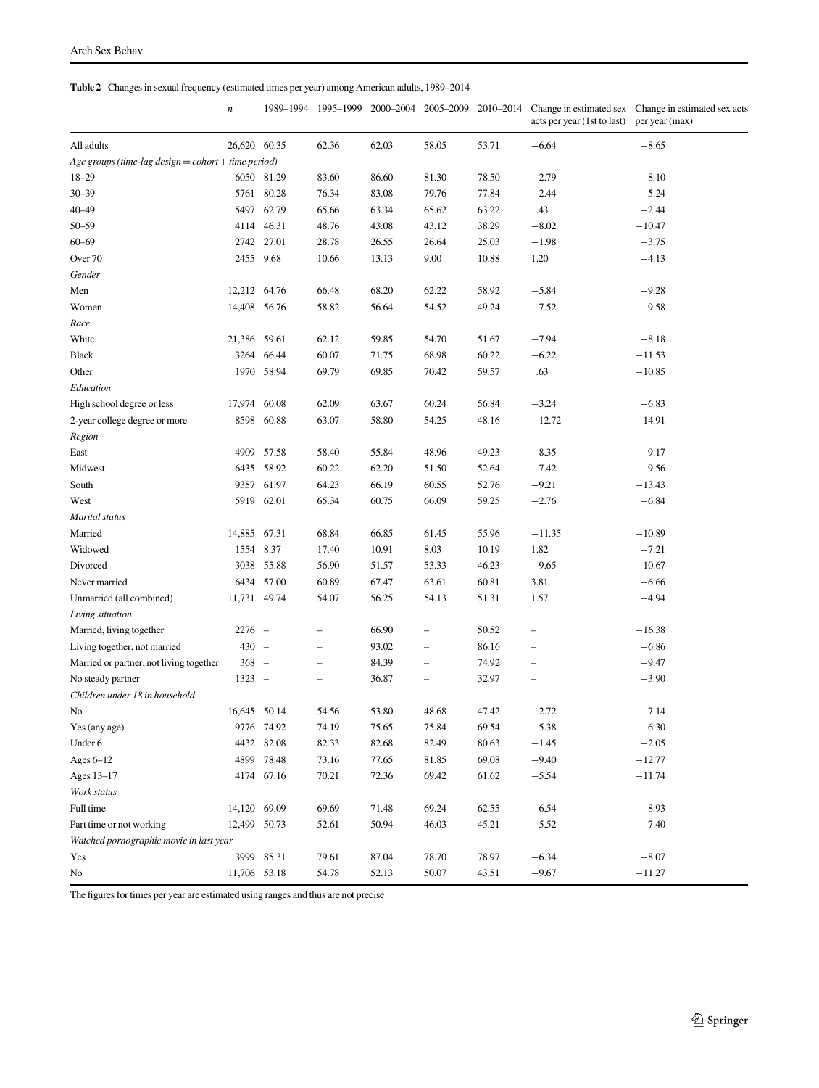### <span id="page-4-0"></span>Table 2 Changes in sexual frequency (estimated times per year) among American adults, 1989–2014

|                                                     | $\boldsymbol{n}$ | 1989-1994  | 1995–1999 | 2000-2004 2005-2009 |          |       | acts per year (1st to last) | 2010–2014 Change in estimated sex Change in estimated sex acts<br>per year (max) |
|-----------------------------------------------------|------------------|------------|-----------|---------------------|----------|-------|-----------------------------|----------------------------------------------------------------------------------|
| All adults                                          | 26,620 60.35     |            | 62.36     | 62.03               | 58.05    | 53.71 | $-6.64$                     | $-8.65$                                                                          |
| Age groups (time-lag design = cohort + time period) |                  |            |           |                     |          |       |                             |                                                                                  |
| $18 - 29$                                           |                  | 6050 81.29 | 83.60     | 86.60               | 81.30    | 78.50 | $-2.79$                     | $-8.10$                                                                          |
| $30 - 39$                                           |                  | 5761 80.28 | 76.34     | 83.08               | 79.76    | 77.84 | $-2.44$                     | $-5.24$                                                                          |
| $40 - 49$                                           |                  | 5497 62.79 | 65.66     | 63.34               | 65.62    | 63.22 | .43                         | $-2.44$                                                                          |
| $50 - 59$                                           |                  | 4114 46.31 | 48.76     | 43.08               | 43.12    | 38.29 | $-8.02$                     | $-10.47$                                                                         |
| $60 - 69$                                           |                  | 2742 27.01 | 28.78     | 26.55               | 26.64    | 25.03 | $-1.98$                     | $-3.75$                                                                          |
| Over 70                                             | 2455 9.68        |            | 10.66     | 13.13               | 9.00     | 10.88 | 1.20                        | $-4.13$                                                                          |
| Gender                                              |                  |            |           |                     |          |       |                             |                                                                                  |
| Men                                                 | 12,212 64.76     |            | 66.48     | 68.20               | 62.22    | 58.92 | $-5.84$                     | $-9.28$                                                                          |
| Women                                               | 14,408 56.76     |            | 58.82     | 56.64               | 54.52    | 49.24 | $-7.52$                     | $-9.58$                                                                          |
| Race                                                |                  |            |           |                     |          |       |                             |                                                                                  |
| White                                               | 21,386 59.61     |            | 62.12     | 59.85               | 54.70    | 51.67 | $-7.94$                     | $-8.18$                                                                          |
| <b>Black</b>                                        |                  | 3264 66.44 | 60.07     | 71.75               | 68.98    | 60.22 | $-6.22$                     | $-11.53$                                                                         |
| Other                                               |                  | 1970 58.94 | 69.79     | 69.85               | 70.42    | 59.57 | .63                         | $-10.85$                                                                         |
| Education                                           |                  |            |           |                     |          |       |                             |                                                                                  |
| High school degree or less                          | 17,974 60.08     |            | 62.09     | 63.67               | 60.24    | 56.84 | $-3.24$                     | $-6.83$                                                                          |
| 2-year college degree or more                       |                  | 8598 60.88 | 63.07     | 58.80               | 54.25    | 48.16 | $-12.72$                    | $-14.91$                                                                         |
| Region                                              |                  |            |           |                     |          |       |                             |                                                                                  |
| East                                                | 4909             | 57.58      | 58.40     | 55.84               | 48.96    | 49.23 | $-8.35$                     | $-9.17$                                                                          |
| Midwest                                             |                  | 6435 58.92 | 60.22     | 62.20               | 51.50    | 52.64 | $-7.42$                     | $-9.56$                                                                          |
| South                                               |                  | 9357 61.97 | 64.23     | 66.19               | 60.55    | 52.76 | $-9.21$                     | $-13.43$                                                                         |
| West                                                |                  | 5919 62.01 | 65.34     | 60.75               | 66.09    | 59.25 | $-2.76$                     | $-6.84$                                                                          |
| Marital status                                      |                  |            |           |                     |          |       |                             |                                                                                  |
| Married                                             | 14,885 67.31     |            | 68.84     | 66.85               | 61.45    | 55.96 | $-11.35$                    | $-10.89$                                                                         |
| Widowed                                             | 1554 8.37        |            | 17.40     | 10.91               | 8.03     | 10.19 | 1.82                        | $-7.21$                                                                          |
| Divorced                                            |                  | 3038 55.88 | 56.90     | 51.57               | 53.33    | 46.23 | $-9.65$                     | $-10.67$                                                                         |
| Never married                                       |                  | 6434 57.00 | 60.89     | 67.47               | 63.61    | 60.81 | 3.81                        | $-6.66$                                                                          |
| Unmarried (all combined)                            | 11,731 49.74     |            | 54.07     | 56.25               | 54.13    | 51.31 | 1.57                        | $-4.94$                                                                          |
| Living situation                                    |                  |            |           |                     |          |       |                             |                                                                                  |
| Married, living together                            | $2276 -$         |            |           | 66.90               | -        | 50.52 |                             | $-16.38$                                                                         |
| Living together, not married                        | $430 -$          |            | $\equiv$  | 93.02               | -        | 86.16 |                             | $-6.86$                                                                          |
| Married or partner, not living together             | $368 -$          |            | $\equiv$  | 84.39               | $\equiv$ | 74.92 | $\overline{\phantom{0}}$    | $-9.47$                                                                          |
| No steady partner                                   | $1323 -$         |            |           | 36.87               |          | 32.97 |                             | $-3.90$                                                                          |
| Children under 18 in household                      |                  |            |           |                     |          |       |                             |                                                                                  |
| No                                                  | 16,645 50.14     |            | 54.56     | 53.80               | 48.68    | 47.42 | $-2.72$                     | $-7.14$                                                                          |
| Yes (any age)                                       |                  | 9776 74.92 | 74.19     | 75.65               | 75.84    | 69.54 | $-5.38$                     | $-6.30$                                                                          |
| Under 6                                             |                  | 4432 82.08 | 82.33     | 82.68               | 82.49    | 80.63 | $-1.45$                     | $-2.05$                                                                          |
| Ages $6-12$                                         |                  | 4899 78.48 | 73.16     | 77.65               | 81.85    | 69.08 | $-9.40$                     | $-12.77$                                                                         |
| Ages 13-17                                          |                  | 4174 67.16 | 70.21     | 72.36               | 69.42    | 61.62 | $-5.54$                     | $-11.74$                                                                         |
| Work status                                         |                  |            |           |                     |          |       |                             |                                                                                  |
| Full time                                           | 14,120 69.09     |            | 69.69     | 71.48               | 69.24    | 62.55 | $-6.54$                     | $-8.93$                                                                          |
| Part time or not working                            | 12,499 50.73     |            | 52.61     | 50.94               | 46.03    | 45.21 | $-5.52$                     | $-7.40$                                                                          |
| Watched pornographic movie in last year             |                  |            |           |                     |          |       |                             |                                                                                  |
| Yes                                                 |                  | 3999 85.31 | 79.61     | 87.04               | 78.70    | 78.97 | $-6.34$                     | $-8.07$                                                                          |
| No                                                  | 11,706 53.18     |            | 54.78     | 52.13               | 50.07    | 43.51 | $-9.67$                     | $-11.27$                                                                         |

The figures for times per year are estimated using ranges and thus are not precise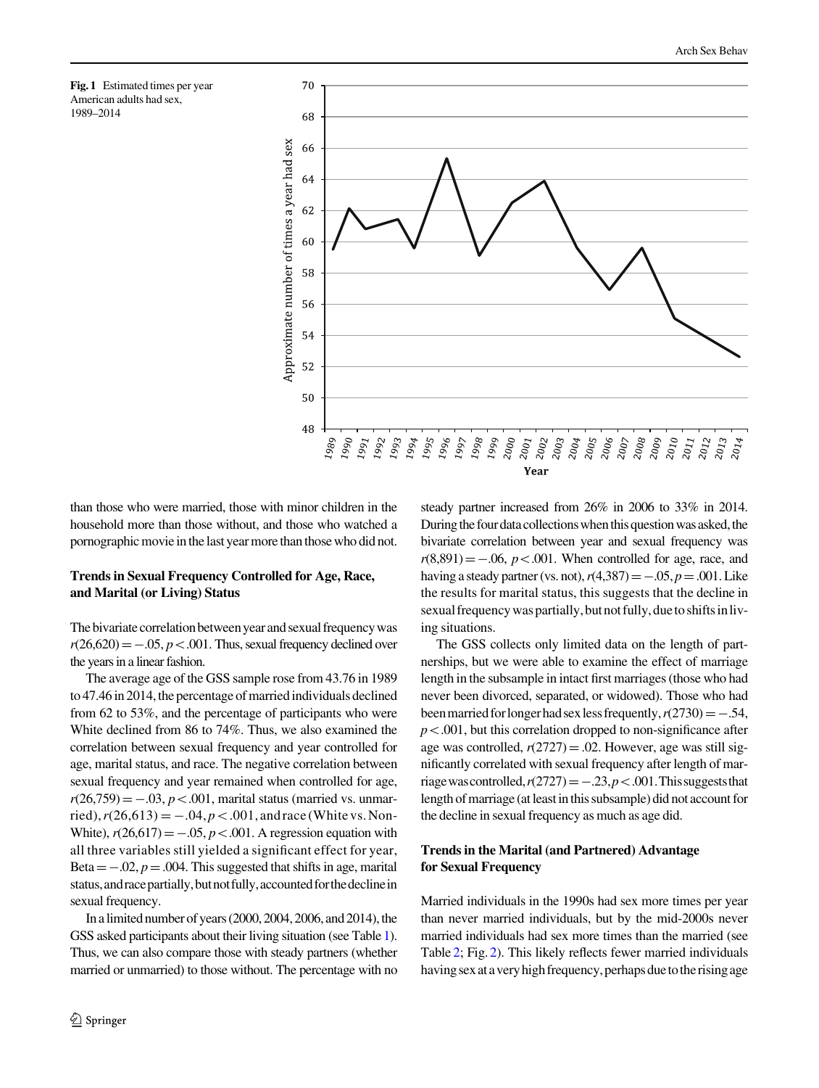<span id="page-5-0"></span>



than those who were married, those with minor children in the household more than those without, and those who watched a pornographic movie in the last year more than those who did not.

# Trends in Sexual Frequency Controlled for Age, Race, and Marital (or Living) Status

The bivariate correlation between year and sexual frequency was  $r(26,620) = -.05, p < .001$ . Thus, sexual frequency declined over the years in a linear fashion.

The average age of the GSS sample rose from 43.76 in 1989 to 47.46 in 2014, the percentage of married individuals declined from 62 to 53%, and the percentage of participants who were White declined from 86 to 74%. Thus, we also examined the correlation between sexual frequency and year controlled for age, marital status, and race. The negative correlation between sexual frequency and year remained when controlled for age,  $r(26,759) = -.03, p < .001$ , marital status (married vs. unmarried),  $r(26,613) = -.04, p < .001$ , andrace (White vs. Non-White),  $r(26,617) = -.05$ ,  $p < .001$ . A regression equation with all three variables still yielded a significant effect for year, Beta  $= -.02$ ,  $p = .004$ . This suggested that shifts in age, marital status, and race partially, but not fully, accounted for the decline in sexual frequency.

In a limited number of years (2000, 2004, 2006, and 2014), the GSS asked participants about their living situation (see Table [1\)](#page-3-0). Thus, we can also compare those with steady partners (whether married or unmarried) to those without. The percentage with no steady partner increased from 26% in 2006 to 33% in 2014. During the four data collections when this question was asked, the bivariate correlation between year and sexual frequency was  $r(8,891) = -.06$ ,  $p < .001$ . When controlled for age, race, and having a steady partner (vs. not),  $r(4,387) = -.05$ ,  $p = .001$ . Like the results for marital status, this suggests that the decline in sexual frequency was partially, but not fully, due to shifts in living situations.

The GSS collects only limited data on the length of partnerships, but we were able to examine the effect of marriage length in the subsample in intact first marriages (those who had never been divorced, separated, or widowed). Those who had been married for longer had sex less frequently,  $r(2730) = -.54$ ,  $p<.001$ , but this correlation dropped to non-significance after age was controlled,  $r(2727) = .02$ . However, age was still significantly correlated with sexual frequency after length of marriage was controlled,  $r(2727) = -.23, p < .001$ . This suggests that length of marriage (at least in this subsample) did not account for the decline in sexual frequency as much as age did.

# Trends in the Marital (and Partnered) Advantage for Sexual Frequency

Married individuals in the 1990s had sex more times per year than never married individuals, but by the mid-2000s never married individuals had sex more times than the married (see Table [2;](#page-4-0) Fig. [2](#page-6-0)). This likely reflects fewer married individuals having sex at a very high frequency, perhaps due to the rising age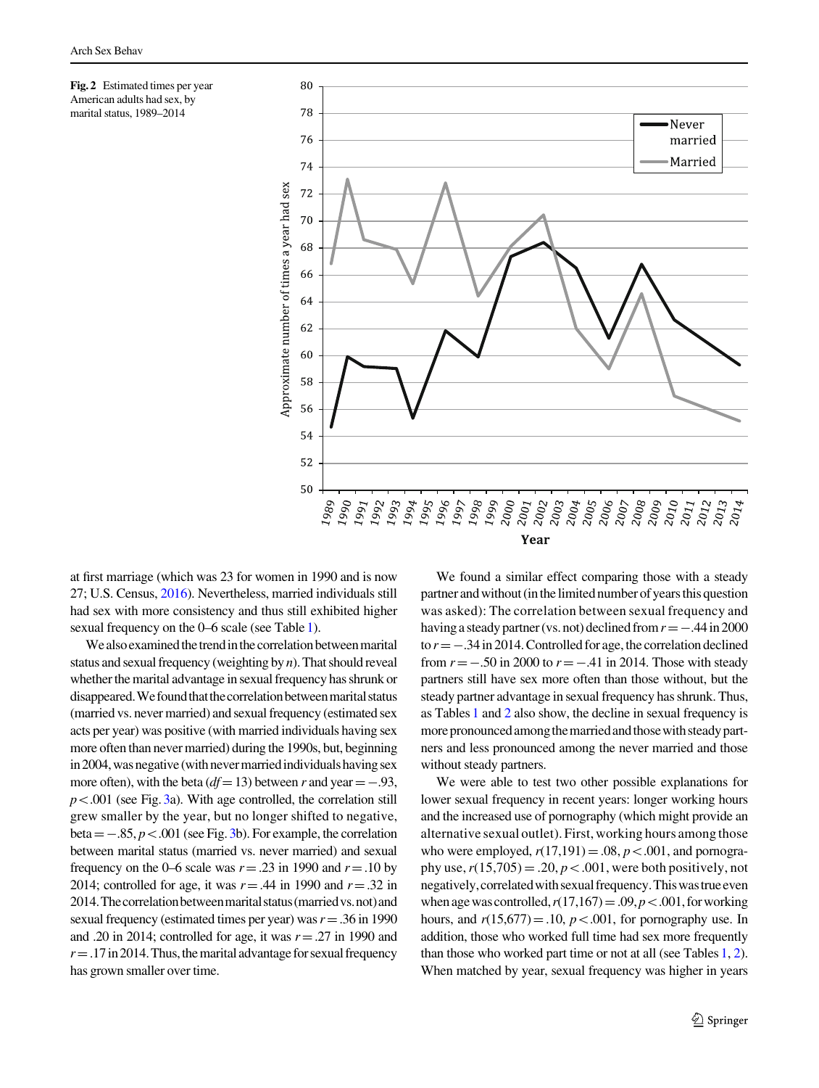<span id="page-6-0"></span>



at first marriage (which was 23 for women in 1990 and is now 27; U.S. Census, [2016](#page-12-0)). Nevertheless, married individuals still had sex with more consistency and thus still exhibited higher sexual frequency on the 0–6 scale (see Table [1](#page-3-0)).

We also examined the trend in the correlation between marital status and sexual frequency (weighting by  $n$ ). That should reveal whether the marital advantage in sexual frequency has shrunk or disappeared. We found that the correlation between marital status (married vs. never married) and sexual frequency (estimated sex acts per year) was positive (with married individuals having sex more often than never married) during the 1990s, but, beginning in 2004, was negative (with never married individuals having sex more often), with the beta ( $df = 13$ ) between r and year = -.93,  $p<.001$  (see Fig. [3a](#page-7-0)). With age controlled, the correlation still grew smaller by the year, but no longer shifted to negative, beta  $= -0.85$ ,  $p < 0.001$  (see Fig. [3b](#page-7-0)). For example, the correlation between marital status (married vs. never married) and sexual frequency on the 0–6 scale was  $r = .23$  in 1990 and  $r = .10$  by 2014; controlled for age, it was  $r = .44$  in 1990 and  $r = .32$  in 2014. The correlation between marital status (married vs. not) and sexual frequency (estimated times per year) was  $r = .36$  in 1990 and .20 in 2014; controlled for age, it was  $r = .27$  in 1990 and  $r = .17$  in 2014. Thus, the marital advantage for sexual frequency has grown smaller over time.

We found a similar effect comparing those with a steady partner and without (in the limited number of years this question was asked): The correlation between sexual frequency and having a steady partner (vs. not) declined from  $r = -.44$  in 2000 to  $r = -.34$  in 2014. Controlled for age, the correlation declined from  $r = -.50$  in 2000 to  $r = -.41$  in 2014. Those with steady partners still have sex more often than those without, but the steady partner advantage in sexual frequency has shrunk. Thus, as Tables [1](#page-3-0) and [2](#page-4-0) also show, the decline in sexual frequency is more pronounced among the married and those with steady partners and less pronounced among the never married and those without steady partners.

We were able to test two other possible explanations for lower sexual frequency in recent years: longer working hours and the increased use of pornography (which might provide an alternative sexual outlet). First, working hours among those who were employed,  $r(17,191) = .08$ ,  $p < .001$ , and pornography use,  $r(15,705) = .20, p < .001$ , were both positively, not negatively, correlated with sexual frequency. This was true even when age was controlled,  $r(17,167)=.09, p<.001$ , for working hours, and  $r(15,677)=.10$ ,  $p<.001$ , for pornography use. In addition, those who worked full time had sex more frequently than those who worked part time or not at all (see Tables [1](#page-3-0), [2\)](#page-4-0). When matched by year, sexual frequency was higher in years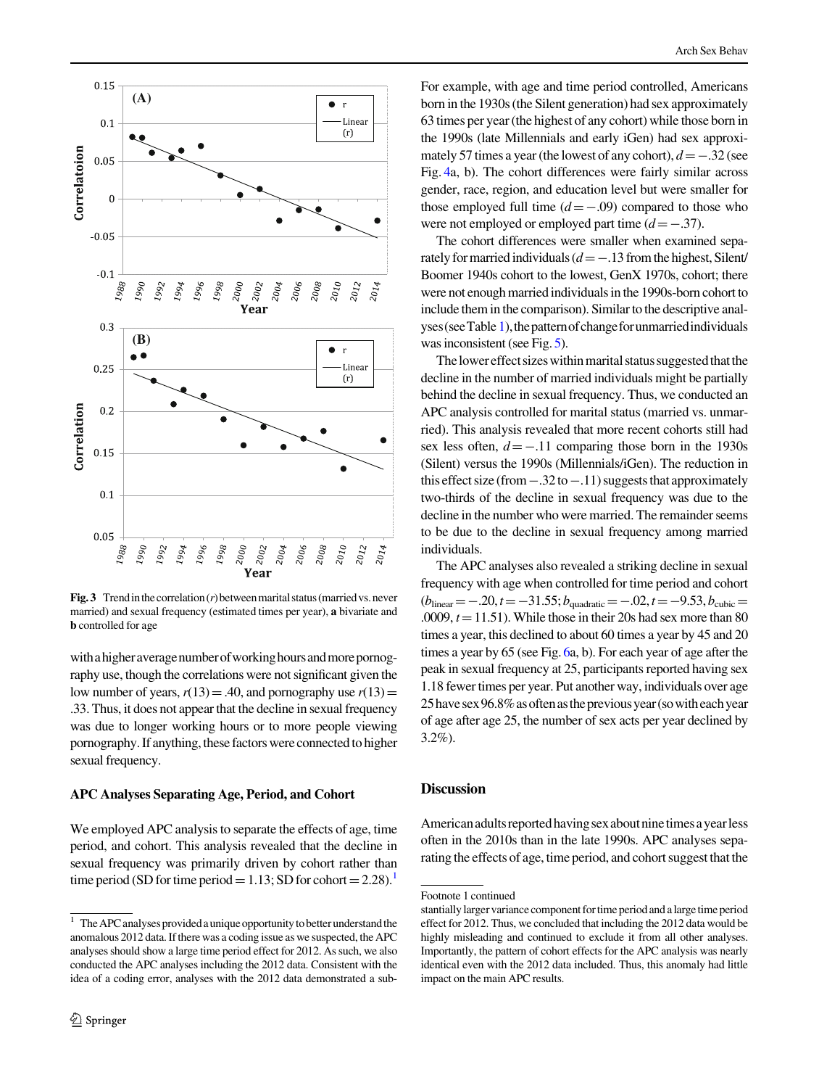<span id="page-7-0"></span>

**Fig. 3** Trend in the correlation  $(r)$  between marital status (married vs. never married) and sexual frequency (estimated times per year), a bivariate and b controlled for age

with a higher average number of working hours and more pornography use, though the correlations were not significant given the low number of years,  $r(13)=.40$ , and pornography use  $r(13)=$ .33. Thus, it does not appear that the decline in sexual frequency was due to longer working hours or to more people viewing pornography. If anything, these factors were connected to higher sexual frequency.

### APC Analyses Separating Age, Period, and Cohort

We employed APC analysis to separate the effects of age, time period, and cohort. This analysis revealed that the decline in sexual frequency was primarily driven by cohort rather than time period (SD for time period = 1.13; SD for cohort = 2.28).<sup>1</sup>

For example, with age and time period controlled, Americans born in the 1930s (the Silent generation) had sex approximately 63 times per year (the highest of any cohort) while those born in the 1990s (late Millennials and early iGen) had sex approximately 57 times a year (the lowest of any cohort),  $d = -.32$  (see Fig. [4a](#page-8-0), b). The cohort differences were fairly similar across gender, race, region, and education level but were smaller for those employed full time  $(d=-.09)$  compared to those who were not employed or employed part time  $(d=-.37)$ .

The cohort differences were smaller when examined separately for married individuals  $(d=-.13$  from the highest, Silent/ Boomer 1940s cohort to the lowest, GenX 1970s, cohort; there were not enough married individuals in the 1990s-born cohort to include them in the comparison). Similar to the descriptive anal-yses (see Table [1](#page-3-0)), the pattern of change for unmarried individuals was inconsistent (see Fig. [5\)](#page-9-0).

The lower effect sizes within marital status suggested that the decline in the number of married individuals might be partially behind the decline in sexual frequency. Thus, we conducted an APC analysis controlled for marital status (married vs. unmarried). This analysis revealed that more recent cohorts still had sex less often,  $d = -.11$  comparing those born in the 1930s (Silent) versus the 1990s (Millennials/iGen). The reduction in this effect size (from  $-.32$  to  $-.11$ ) suggests that approximately two-thirds of the decline in sexual frequency was due to the decline in the number who were married. The remainder seems to be due to the decline in sexual frequency among married individuals.

The APC analyses also revealed a striking decline in sexual frequency with age when controlled for time period and cohort  $(b_{\text{linear}}=-.20,t=-31.55; b_{\text{quadratic}}=-.02,t=-9.53, b_{\text{cubic}}=$ .0009,  $t = 11.51$ ). While those in their 20s had sex more than 80 times a year, this declined to about 60 times a year by 45 and 20 times a year by 65 (see Fig. [6a](#page-10-0), b). For each year of age after the peak in sexual frequency at 25, participants reported having sex 1.18 fewer times per year. Put another way, individuals over age 25havesex96.8%asoftenasthepreviousyear(sowitheachyear of age after age 25, the number of sex acts per year declined by 3.2%).

# Discussion

American adults reported having sex about nine times a year less often in the 2010s than in the late 1990s. APC analyses separating the effects of age, time period, and cohort suggest that the

 $\frac{1}{1}$  The APC analyses provided a unique opportunity to better understand the anomalous 2012 data. If there was a coding issue as we suspected, the APC analyses should show a large time period effect for 2012. As such, we also conducted the APC analyses including the 2012 data. Consistent with the idea of a coding error, analyses with the 2012 data demonstrated a sub-

Footnote 1 continued

stantially larger variance component for time period and a large time period effect for 2012. Thus, we concluded that including the 2012 data would be highly misleading and continued to exclude it from all other analyses. Importantly, the pattern of cohort effects for the APC analysis was nearly identical even with the 2012 data included. Thus, this anomaly had little impact on the main APC results.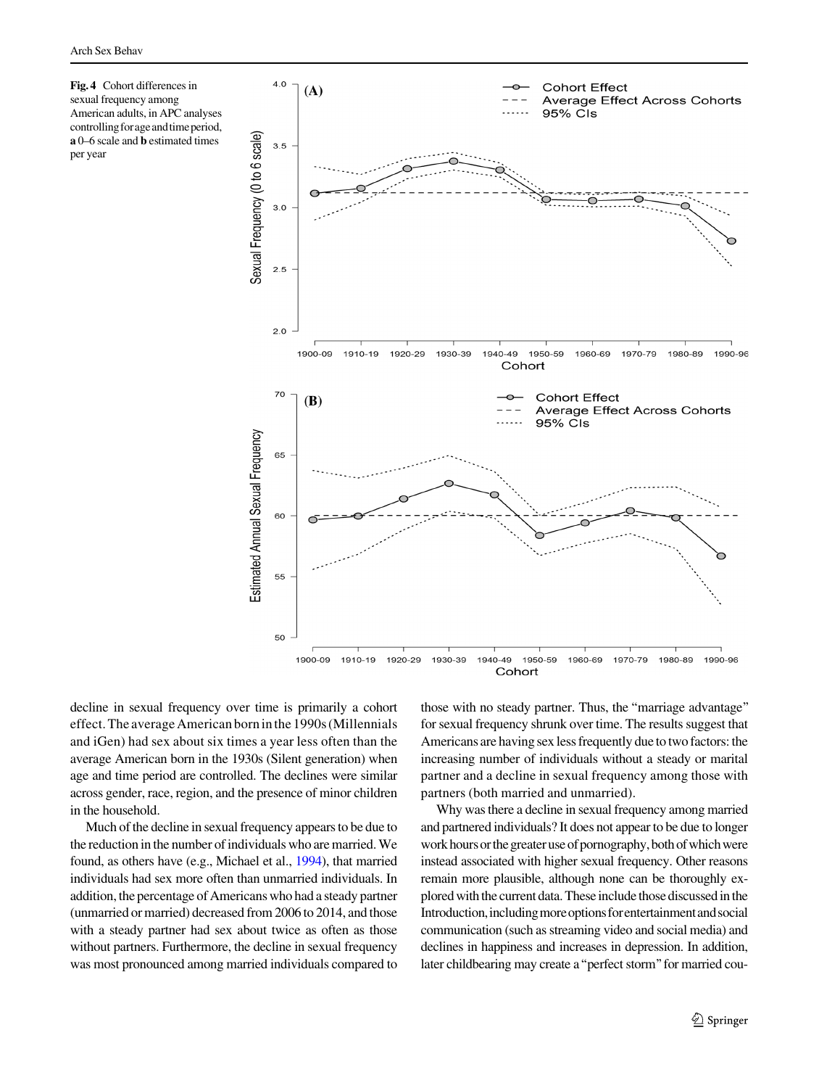<span id="page-8-0"></span>



decline in sexual frequency over time is primarily a cohort effect. The average American born in the 1990s (Millennials and iGen) had sex about six times a year less often than the average American born in the 1930s (Silent generation) when age and time period are controlled. The declines were similar across gender, race, region, and the presence of minor children in the household.

Much of the decline in sexual frequency appears to be due to the reduction in the number of individuals who are married. We found, as others have (e.g., Michael et al., [1994](#page-11-0)), that married individuals had sex more often than unmarried individuals. In addition, the percentage of Americans who had a steady partner (unmarried or married) decreased from 2006 to 2014, and those with a steady partner had sex about twice as often as those without partners. Furthermore, the decline in sexual frequency was most pronounced among married individuals compared to those with no steady partner. Thus, the ''marriage advantage'' for sexual frequency shrunk over time. The results suggest that Americans are having sex less frequently due to two factors: the increasing number of individuals without a steady or marital partner and a decline in sexual frequency among those with partners (both married and unmarried).

Why was there a decline in sexual frequency among married and partnered individuals? It does not appear to be due to longer work hours or the greater use of pornography, both of which were instead associated with higher sexual frequency. Other reasons remain more plausible, although none can be thoroughly explored with the current data. These include those discussed in the Introduction, including more options for entertainment and social communication (such as streaming video and social media) and declines in happiness and increases in depression. In addition, later childbearing may create a''perfect storm''for married cou-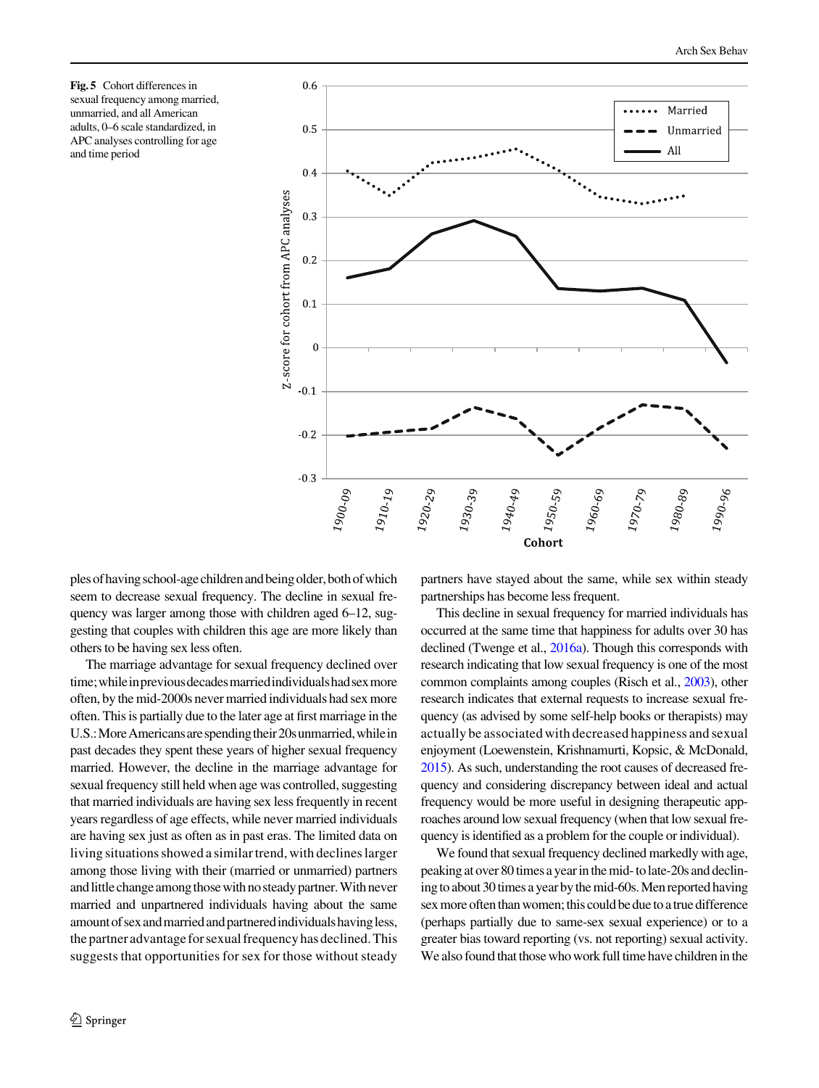<span id="page-9-0"></span>Fig. 5 Cohort differences in sexual frequency among married, unmarried, and all American adults, 0–6 scale standardized, in APC analyses controlling for age and time period



plesofhavingschool-agechildrenandbeingolder,bothofwhich seem to decrease sexual frequency. The decline in sexual frequency was larger among those with children aged 6–12, suggesting that couples with children this age are more likely than others to be having sex less often.

The marriage advantage for sexual frequency declined over time; while in previous decades married individuals had sex more often, by the mid-2000s never married individuals had sex more often. This is partially due to the later age at first marriage in the U.S.: More Americans are spending their 20s unmarried, while in past decades they spent these years of higher sexual frequency married. However, the decline in the marriage advantage for sexual frequency still held when age was controlled, suggesting that married individuals are having sex less frequently in recent years regardless of age effects, while never married individuals are having sex just as often as in past eras. The limited data on living situations showed a similar trend, with declines larger among those living with their (married or unmarried) partners and little change among those with no steady partner. With never married and unpartnered individuals having about the same amount of sex and married and partnered individuals having less, the partner advantage for sexual frequency has declined. This suggests that opportunities for sex for those without steady

partners have stayed about the same, while sex within steady partnerships has become less frequent.

This decline in sexual frequency for married individuals has occurred at the same time that happiness for adults over 30 has declined (Twenge et al., [2016a](#page-12-0)). Though this corresponds with research indicating that low sexual frequency is one of the most common complaints among couples (Risch et al., [2003\)](#page-12-0), other research indicates that external requests to increase sexual frequency (as advised by some self-help books or therapists) may actually be associated with decreased happiness and sexual enjoyment (Loewenstein, Krishnamurti, Kopsic, & McDonald, [2015](#page-11-0)). As such, understanding the root causes of decreased frequency and considering discrepancy between ideal and actual frequency would be more useful in designing therapeutic approaches around low sexual frequency (when that low sexual frequency is identified as a problem for the couple or individual).

We found that sexual frequency declined markedly with age, peaking at over 80 times a year in the mid- to late-20s and declining to about 30 times a year by the mid-60s. Men reported having sex more often than women; this could be due to a true difference (perhaps partially due to same-sex sexual experience) or to a greater bias toward reporting (vs. not reporting) sexual activity. We also found that those who work full time have children in the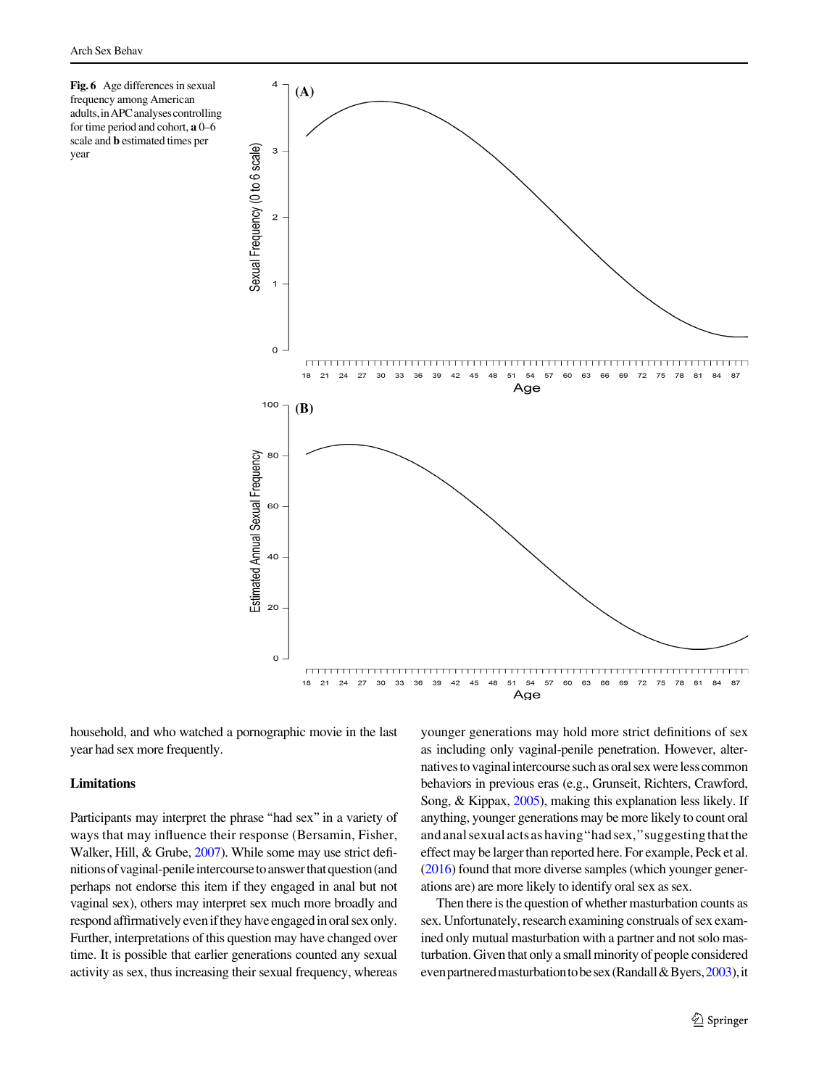<span id="page-10-0"></span>Fig. 6 Age differences in sexual frequency among American adults,inAPCanalysescontrolling for time period and cohort, a 0–6 scale and b estimated times per year



household, and who watched a pornographic movie in the last year had sex more frequently.

### Limitations

Participants may interpret the phrase "had sex" in a variety of ways that may influence their response (Bersamin, Fisher, Walker, Hill, & Grube, [2007\)](#page-11-0). While some may use strict definitionsofvaginal-penileintercoursetoanswerthatquestion(and perhaps not endorse this item if they engaged in anal but not vaginal sex), others may interpret sex much more broadly and respond affirmatively even if they have engaged in oral sex only. Further, interpretations of this question may have changed over time. It is possible that earlier generations counted any sexual activity as sex, thus increasing their sexual frequency, whereas younger generations may hold more strict definitions of sex as including only vaginal-penile penetration. However, alternatives to vaginal intercourse such as oral sex were less common behaviors in previous eras (e.g., Grunseit, Richters, Crawford, Song, & Kippax, [2005\)](#page-11-0), making this explanation less likely. If anything, younger generations may be more likely to count oral and anal sexual acts as having''had sex,''suggesting that the effect may be larger than reported here. For example, Peck et al. [\(2016](#page-11-0)) found that more diverse samples (which younger generations are) are more likely to identify oral sex as sex.

Then there is the question of whether masturbation counts as sex. Unfortunately, research examining construals of sex examined only mutual masturbation with a partner and not solo masturbation. Given that only a small minority of people considered even partnered masturbation to be sex (Randall & Byers, [2003](#page-12-0)), it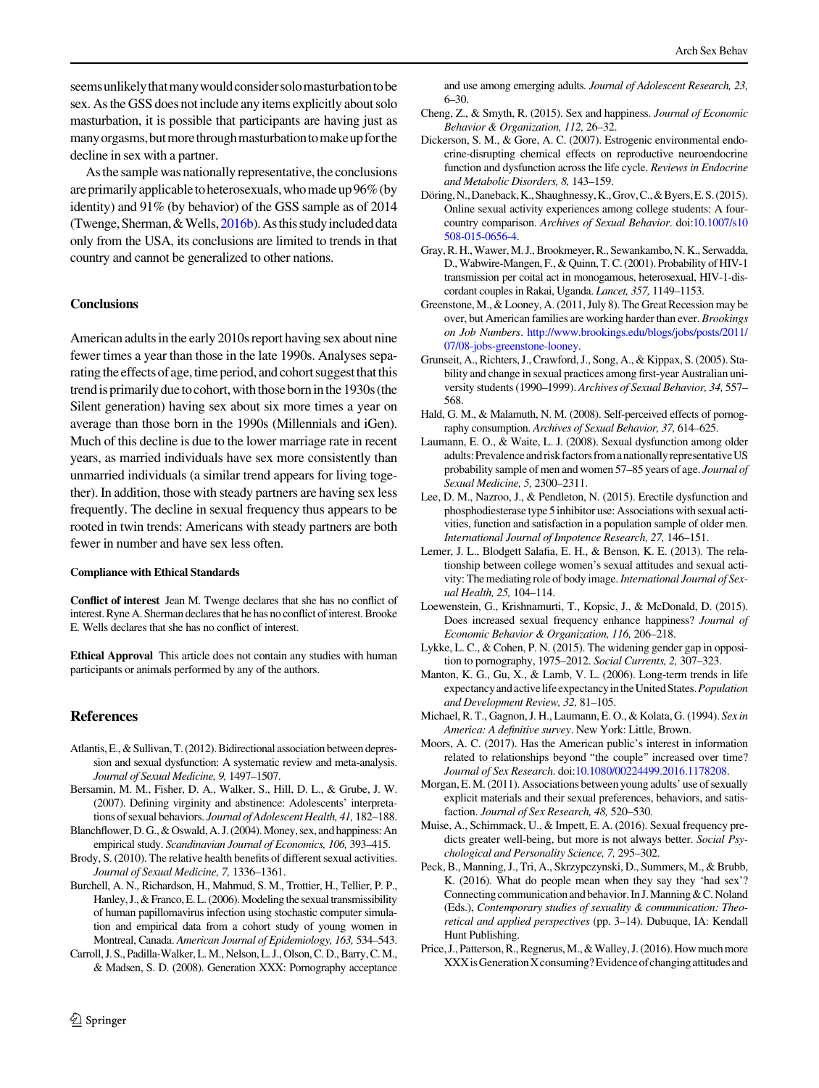<span id="page-11-0"></span>seemsunlikelythatmanywouldconsidersolomasturbationtobe sex. As the GSS does not include any items explicitly about solo masturbation, it is possible that participants are having just as many orgasms, but more through masturbation to make up for the decline in sex with a partner.

As the sample was nationally representative, the conclusions are primarily applicable to heterosexuals, who made up 96% (by identity) and 91% (by behavior) of the GSS sample as of 2014 (Twenge, Sherman,  $&$  Wells,  $2016b$ ). As this study included data only from the USA, its conclusions are limited to trends in that country and cannot be generalized to other nations.

#### **Conclusions**

American adults in the early 2010s report having sex about nine fewer times a year than those in the late 1990s. Analyses separating the effects of age, time period, and cohort suggest that this trend is primarily due to cohort, with those born in the 1930s (the Silent generation) having sex about six more times a year on average than those born in the 1990s (Millennials and iGen). Much of this decline is due to the lower marriage rate in recent years, as married individuals have sex more consistently than unmarried individuals (a similar trend appears for living together). In addition, those with steady partners are having sex less frequently. The decline in sexual frequency thus appears to be rooted in twin trends: Americans with steady partners are both fewer in number and have sex less often.

#### Compliance with Ethical Standards

Conflict of interest Jean M. Twenge declares that she has no conflict of interest. Ryne A. Sherman declares that he has no conflict of interest. Brooke E. Wells declares that she has no conflict of interest.

Ethical Approval This article does not contain any studies with human participants or animals performed by any of the authors.

#### References

- Atlantis, E., & Sullivan, T. (2012). Bidirectional association between depression and sexual dysfunction: A systematic review and meta-analysis. Journal of Sexual Medicine, 9, 1497–1507.
- Bersamin, M. M., Fisher, D. A., Walker, S., Hill, D. L., & Grube, J. W. (2007). Defining virginity and abstinence: Adolescents' interpretations of sexual behaviors. Journal of Adolescent Health, 41, 182–188.
- Blanchflower, D. G., & Oswald, A. J. (2004). Money, sex, and happiness: An empirical study. Scandinavian Journal of Economics, 106, 393–415.
- Brody, S. (2010). The relative health benefits of different sexual activities. Journal of Sexual Medicine, 7, 1336–1361.
- Burchell, A. N., Richardson, H., Mahmud, S. M., Trottier, H., Tellier, P. P., Hanley, J., & Franco, E. L. (2006). Modeling the sexual transmissibility of human papillomavirus infection using stochastic computer simulation and empirical data from a cohort study of young women in Montreal, Canada. American Journal of Epidemiology, 163, 534–543.
- Carroll, J. S., Padilla-Walker, L. M., Nelson, L. J., Olson, C. D., Barry, C. M., & Madsen, S. D. (2008). Generation XXX: Pornography acceptance

and use among emerging adults. Journal of Adolescent Research, 23, 6–30.

- Cheng, Z., & Smyth, R. (2015). Sex and happiness. Journal of Economic Behavior & Organization, 112, 26–32.
- Dickerson, S. M., & Gore, A. C. (2007). Estrogenic environmental endocrine-disrupting chemical effects on reproductive neuroendocrine function and dysfunction across the life cycle. Reviews in Endocrine and Metabolic Disorders, 8, 143–159.
- Döring, N., Daneback, K., Shaughnessy, K., Grov, C., & Byers, E. S. (2015). Online sexual activity experiences among college students: A fourcountry comparison. Archives of Sexual Behavior. doi[:10.1007/s10](http://dx.doi.org/10.1007/s10508-015-0656-4) [508-015-0656-4.](http://dx.doi.org/10.1007/s10508-015-0656-4)
- Gray, R. H., Wawer, M. J., Brookmeyer, R., Sewankambo, N. K., Serwadda, D., Wabwire-Mangen, F., & Quinn, T. C. (2001). Probability of HIV-1 transmission per coital act in monogamous, heterosexual, HIV-1-discordant couples in Rakai, Uganda. Lancet, 357, 1149–1153.
- Greenstone, M., & Looney, A. (2011, July 8). The Great Recession may be over, but American families are working harder than ever. Brookings on Job Numbers. [http://www.brookings.edu/blogs/jobs/posts/2011/](http://www.brookings.edu/blogs/jobs/posts/2011/07/08-jobs-greenstone-looney) [07/08-jobs-greenstone-looney.](http://www.brookings.edu/blogs/jobs/posts/2011/07/08-jobs-greenstone-looney)
- Grunseit, A., Richters, J., Crawford, J., Song, A., & Kippax, S. (2005). Stability and change in sexual practices among first-year Australian university students (1990–1999). Archives of Sexual Behavior, 34, 557– 568.
- Hald, G. M., & Malamuth, N. M. (2008). Self-perceived effects of pornography consumption. Archives of Sexual Behavior, 37, 614–625.
- Laumann, E. O., & Waite, L. J. (2008). Sexual dysfunction among older adults: Prevalence and risk factors from a nationally representative US probability sample of men and women 57–85 years of age. Journal of Sexual Medicine, 5, 2300–2311.
- Lee, D. M., Nazroo, J., & Pendleton, N. (2015). Erectile dysfunction and phosphodiesterase type 5 inhibitor use: Associations with sexual activities, function and satisfaction in a population sample of older men. International Journal of Impotence Research, 27, 146–151.
- Lemer, J. L., Blodgett Salafia, E. H., & Benson, K. E. (2013). The relationship between college women's sexual attitudes and sexual activity: The mediating role of body image. International Journal of Sexual Health, 25, 104–114.
- Loewenstein, G., Krishnamurti, T., Kopsic, J., & McDonald, D. (2015). Does increased sexual frequency enhance happiness? Journal of Economic Behavior & Organization, 116, 206–218.
- Lykke, L. C., & Cohen, P. N. (2015). The widening gender gap in opposition to pornography, 1975–2012. Social Currents, 2, 307–323.
- Manton, K. G., Gu, X., & Lamb, V. L. (2006). Long-term trends in life expectancy and active life expectancy in the United States. Population and Development Review, 32, 81–105.
- Michael, R. T., Gagnon, J. H., Laumann, E. O., & Kolata, G. (1994). Sex in America: A definitive survey. New York: Little, Brown.
- Moors, A. C. (2017). Has the American public's interest in information related to relationships beyond ''the couple'' increased over time? Journal of Sex Research. doi:[10.1080/00224499.2016.1178208.](http://dx.doi.org/10.1080/00224499.2016.1178208)
- Morgan, E. M. (2011). Associations between young adults' use of sexually explicit materials and their sexual preferences, behaviors, and satisfaction. Journal of Sex Research, 48, 520–530.
- Muise, A., Schimmack, U., & Impett, E. A. (2016). Sexual frequency predicts greater well-being, but more is not always better. Social Psychological and Personality Science, 7, 295–302.
- Peck, B., Manning, J., Tri, A., Skrzypczynski, D., Summers, M., & Brubb, K. (2016). What do people mean when they say they 'had sex'? Connecting communication and behavior. In J. Manning  $&C.$  Noland (Eds.), Contemporary studies of sexuality & communication: Theoretical and applied perspectives (pp. 3–14). Dubuque, IA: Kendall Hunt Publishing.
- Price, J., Patterson, R., Regnerus, M., & Walley, J. (2016). How much more XXX is Generation X consuming? Evidence of changing attitudes and